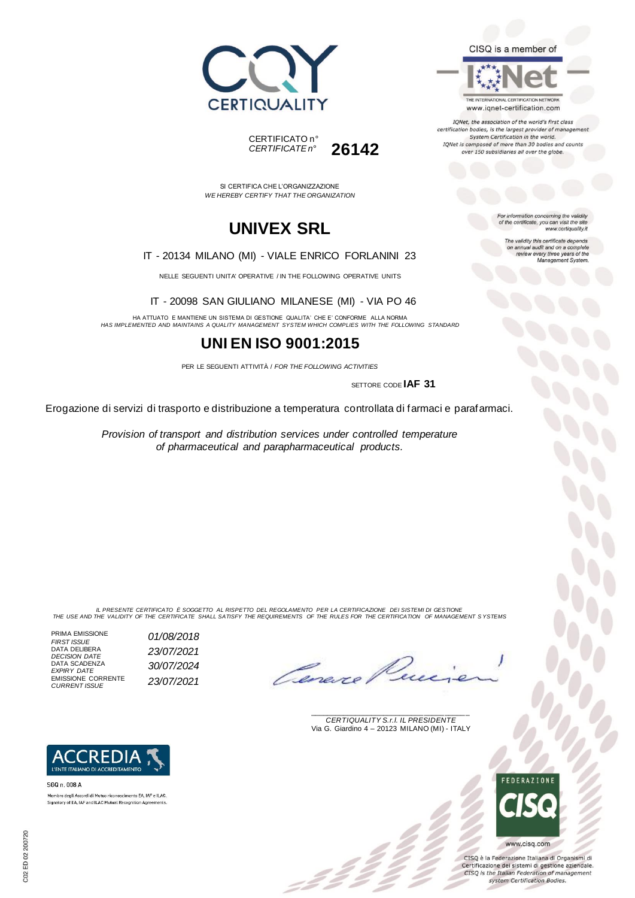



IQNet, the association of the world's first class certification bodies, is the largest provider of management System Certification in the world. IQNet is composed of more than 30 bodies and counts over 150 subsidiaries all over the globe.

For information concerning the validity<br>of the certificate, you can visit the site

www.certiquality.it The validity this certificate depends

on annual audit and on a complete<br>review every three years of the<br>Management System.





SI CERTIFICA CHE L'ORGANIZZAZIONE *WE HEREBY CERTIFY THAT THE ORGANIZATION*

## **UNIVEX SRL**

IT - 20134 MILANO (MI) - VIALE ENRICO FORLANINI 23

NELLE SEGUENTI UNITA' OPERATIVE / IN THE FOLLOWING OPERATIVE UNITS

IT - 20098 SAN GIULIANO MILANESE (MI) - VIA PO 46

HA ATTUATO E MANTIENE UN SISTEMA DI GESTIONE QUALITA' CHE E' CONFORME ALLA NORMA *HAS IMPLEMENTED AND MAINTAINS A QUALITY MANAGEMENT SYSTEM WHICH COMPLIES WITH THE FOLLOWING STANDARD*

## **UNI EN ISO 9001:2015**

PER LE SEGUENTI ATTIVITÀ / *FOR THE FOLLOWING ACTIVITIES*

SETTORE CODE **IAF 31**

Erogazione di servizi di trasporto e distribuzione a temperatura controllata di farmaci e parafarmaci.

*Provision of transport and distribution services under controlled temperature of pharmaceutical and parapharmaceutical products.*

IL PRESENTE CERTIFICATO E SOGGETTO AL RISPETTO DEL REGOLAMENTO PER LA CERTIFICAZIONE DEI SISTEMI DI GESTIONE<br>THE USE AND THE VALIDITY OF THE CERTIFICATE SHALL SATISFY THE REQUIREMENTS OF THE RULES FOR THE CERTIFICATION OF

 $\mathcal{L}$ 

PRIMA EMISSIONE

Ceneve

\_\_\_\_\_\_\_\_\_\_\_\_\_\_\_\_\_\_\_\_\_\_\_\_\_\_\_\_\_\_\_\_\_\_\_\_\_\_\_ *CERTIQUALITY S.r.l. IL PRESIDENTE* Via G. Giardino 4 – 20123 MILANO (MI) - ITALY



CISQ è la Federazione Italiana di Organismi di Certificazione dei sistemi di gestione aziendale. CISQ is the Italian Federation of management system Certification Bodies.



*FIRST ISSUE 01/08/2018* DATA DELIBERA *DECISION DATE 23/07/2021* DATA SCADENZA *EXPIRY DATE 30/07/2024* EMISSIONE CORRENTE *CURRENT ISSUE 23/07/2021*



Signatory of EA, IAF and ILAC Mutual Recognition Agre

SGQ n. 008 A Membro degli Accordi di Mutuo riconoscimento EA. IAF e ILAC.